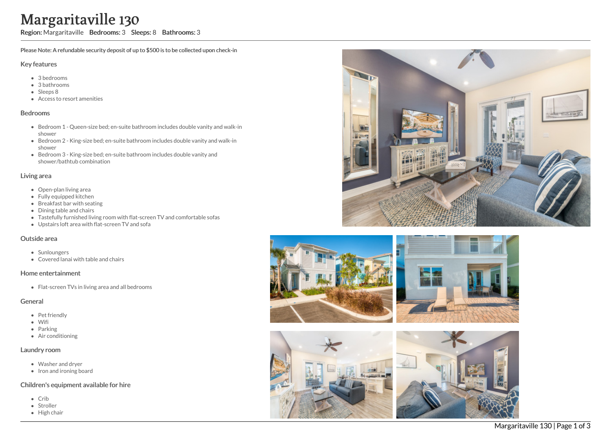# Margaritaville 130

Region: Margaritaville Bedrooms: 3 Sleeps: 8 Bathrooms: 3

Please Note: A refundable security deposit of up to \$500 is to be collected upon check-in

#### Key features

- 3 b e d r o o m s
- 3 bathrooms
- Sleeps 8
- Access to resort amenities

#### **Bedrooms**

- Bedroom 1 Queen-size bed; en-suite bathroom includes double vanity and walk-in s h o w e r
- Bedroom 2 King-size bed; en-suite bathroom includes double vanity and walk-in s h o w e r
- Bedroom 3 King-size bed; en-suite bathroom includes double vanity and shower/bathtub combination

#### Living area

- Open-plan living area
- Fully equipped kitchen
- Breakfast bar with seating
- Dining table and chairs
- Tastefully furnished living room with flat-screen TV and comfortable sofas
- Upstairs loft area with flat-screen TV and sofa

#### Outside area

- **Sunloungers**
- Covered lanai with table and chairs

#### Home entertainment

Flat-screen TVs in living area and all bedrooms

#### General

- Pet friendly
- Wifi
- Parkin g
- Air conditioning

#### Laundry room

- Washer and dryer
- Iron and ironing board

## Children's equipment available for hire

- C rib
- S t r olle r
- Hig h c h air









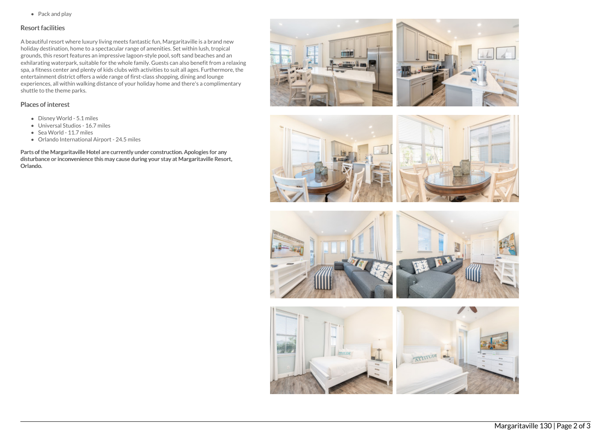• Pack and play

## Resort facilities

A beautiful resort where luxury living meets fantastic fun, Margaritaville is a brand new holiday destination, home to a spectacular range of amenities. Set within lush, tropical grounds, this resort features an impressive lagoon-style pool, soft sand beaches and an exhilarating waterpark, suitable for the whole family. Guests can also benefit from a relaxing spa, a fitness center and plenty of kids clubs with activities to suit all ages. Furthermore, the entertainment district offers a wide range of first-class shopping, dining and lounge experiences, all within walking distance of your holiday home and there's a complimentary shuttle to the theme parks.

# Places of interest

- Disney World 5.1 miles
- Universal Studios 16.7 miles
- Sea World 11.7 miles
- Orlando International Airport 24.5 miles

Parts of the Margaritaville Hotel are currently under construction. Apologies for any disturbance or inconvenience this may cause during your stay at Margaritaville Resort, Orlando.